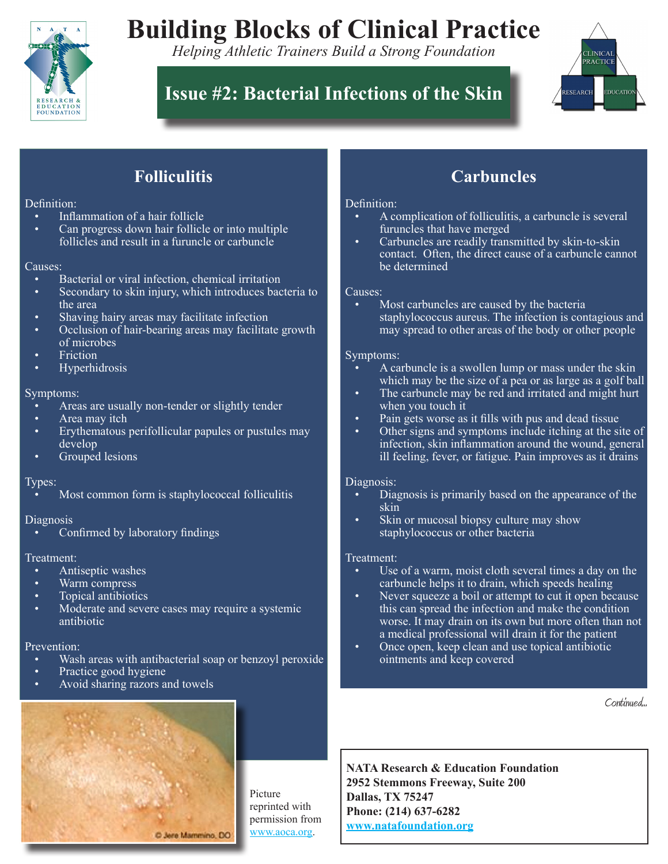

# **Building Blocks of Clinical Practice**

*Helping Athletic Trainers Build a Strong Foundation*

# **Issue #2: Bacterial Infections of the Skin**



# **Folliculitis**

### Definition:

- Inflammation of a hair follicle
- Can progress down hair follicle or into multiple follicles and result in a furuncle or carbuncle

### Causes:

- Bacterial or viral infection, chemical irritation
- Secondary to skin injury, which introduces bacteria to the area
- Shaving hairy areas may facilitate infection
- Occlusion of hair-bearing areas may facilitate growth of microbes
- **Friction**
- **Hyperhidrosis**

### Symptoms:

- Areas are usually non-tender or slightly tender
- Area may itch
- Erythematous perifollicular papules or pustules may develop
- Grouped lesions

### Types:

Most common form is staphylococcal folliculitis

### Diagnosis

Confirmed by laboratory findings

### Treatment:

- Antiseptic washes
- Warm compress
- Topical antibiotics
- Moderate and severe cases may require a systemic antibiotic

### Prevention:

- Wash areas with antibacterial soap or benzoyl peroxide
- Practice good hygiene
- Avoid sharing razors and towels

## **Carbuncles**

### Definition:

- A complication of folliculitis, a carbuncle is several furuncles that have merged
- Carbuncles are readily transmitted by skin-to-skin contact. Often, the direct cause of a carbuncle cannot be determined

### Causes:

Most carbuncles are caused by the bacteria staphylococcus aureus. The infection is contagious and may spread to other areas of the body or other people

### Symptoms:

- A carbuncle is a swollen lump or mass under the skin which may be the size of a pea or as large as a golf ball
- The carbuncle may be red and irritated and might hurt when you touch it
- Pain gets worse as it fills with pus and dead tissue
- Other signs and symptoms include itching at the site of infection, skin inflammation around the wound, general ill feeling, fever, or fatigue. Pain improves as it drains

### Diagnosis:

- Diagnosis is primarily based on the appearance of the skin. skin
- Skin or mucosal biopsy culture may show staphylococcus or other bacteria

### Treatment:

- Use of a warm, moist cloth several times a day on the carbuncle helps it to drain, which speeds healing.
- Never squeeze a boil or attempt to cut it open because this can spread the infection and make the condition worse. It may drain on its own but more often than not a medical professional will drain it for the patient.
- Once open, keep clean and use topical antibiotic ointments and keep covered

Continued...



Picture reprinted with permission from www.aoca.org.

**NATA Research & Education Foundation 2952 Stemmons Freeway, Suite 200 Dallas, TX 75247 Phone: (214) 637-6282 www.natafoundation.org**